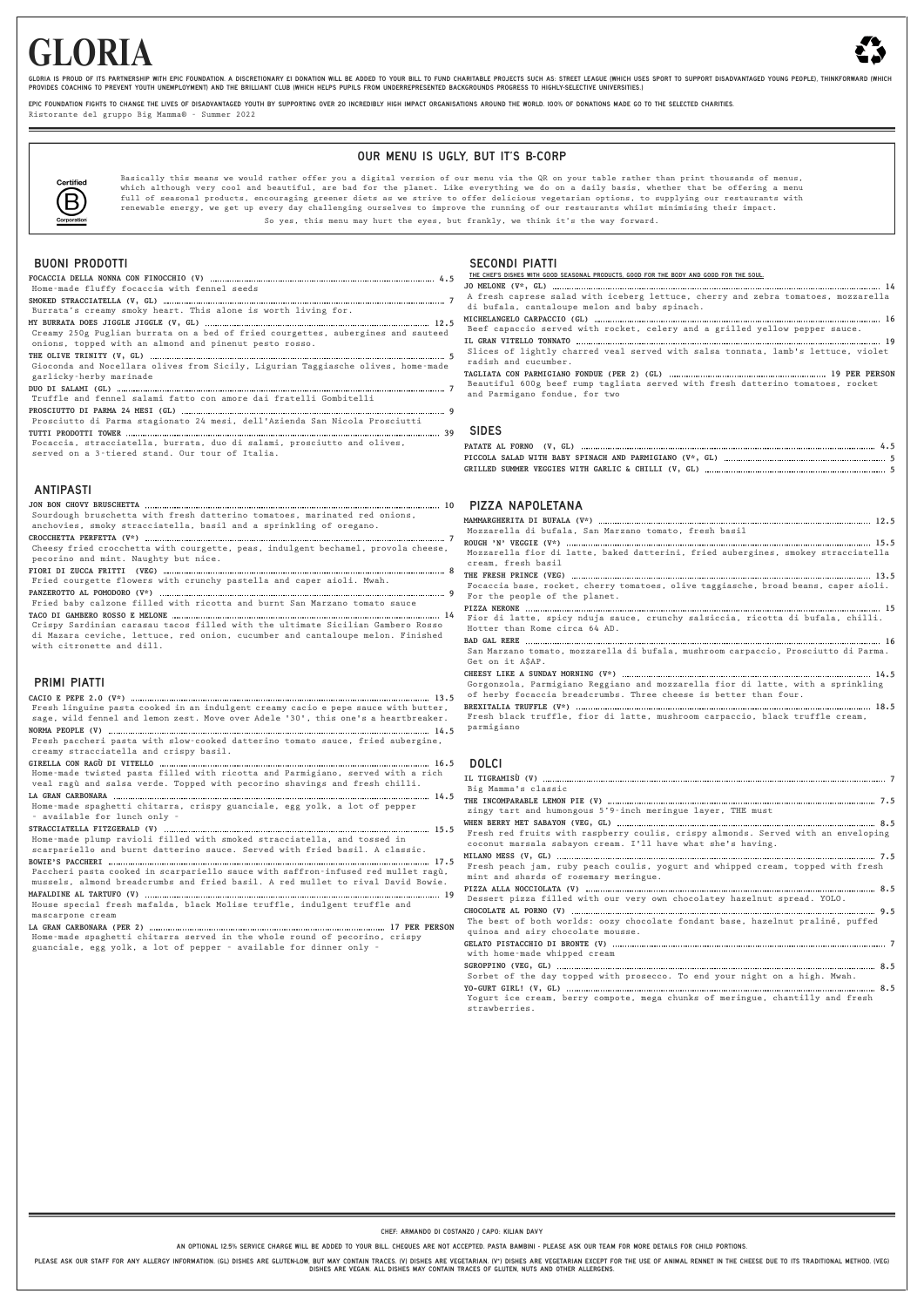# **GLORIA**



GLORIA IS PROUD OF ITS PARTNERSHIP WITH EPIC FOUNDATION. A DISCRETIONARY EI DONATION WILL BE ADDED TO YOUR BILL TO FUND CHARITABLE PROJECTS SUCH AS: STREET LEAGUE (WHICH USES SPORT TO SUPPORT DISADVANTAGED YOUNG PEOPLE), T PROVIDES COACHING TO PREVENT YOUTH UNEMPLOYMENT) AND THE BRILLIANT CLUB (WHICH HELPS PUPILS FROM UNDERREPRESENTED BACKGROUNDS PROGRESS TO HIGHLY-SELECTIVE UNIVERSITIES.)

FPIC FOUNDATION FIGHTS TO CHANGE THE LIVES OF DISADVANTAGED YOUTH BY SUPPORTING OVER 20 INCREDIBLY HIGH IMPACT ORGANISATIONS AROUND THE WORLD. 100% OF DONATIONS MADE GO TO THE SELECTED CHARITIES.

Ristorante del gruppo Big Mamma® - Summer 2022

## OUR MENU IS UGLY, BUT IT'S B-CORP



Basically this means we would rather offer you a digital version of our menu via the QR on your table rather than print thousands of menus, which although very cool and beautiful, are bad for the planet. Like everything we do on a daily basis, whether that be offering a menu full of seasonal products, encouraging greener diets as we strive to offer delicious vegetarian options, to supplying our restaurants with renewable energy, we get up every day challenging ourselves to improve the running of our restaurants whilst minimising their impact.

So yes, this menu may hurt the eyes, but frankly, we think it's the way forward.

### BUONI PRODOTTI

PLEASE ASK OUR STAFF FOR ANY ALLERGY INFORMATION. (GL) DISHES ARE GLUTEN-LOW, BUT MAY CONTAIN TRACES. (V) DISHES ARE VEGETARIAN. (V\*) DISHES ARE VEGETARIAN EXCEPT FOR THE USE OF ANIMAL RENNET IN THE CHEESE DUE TO ITS TRADI DISHES ARE VEGAN. ALL DISHES MAY CONTAIN TRACES OF GLUTEN, NUTS AND OTHER ALLERGENS.

|                                                                                    | THE CHEF'S DISHES WITH GOOD SEASONAL PRODUCTS, GOOD FOR THE BODY AND GOOD FOR THE SOUL.                          |
|------------------------------------------------------------------------------------|------------------------------------------------------------------------------------------------------------------|
| Home-made fluffy focaccia with fennel seeds                                        |                                                                                                                  |
|                                                                                    | A fresh caprese salad with iceberg lettuce, cherry and zebra tomatoes, mozzarella                                |
| Burrata's creamy smoky heart. This alone is worth living for.                      | di bufala, cantaloupe melon and baby spinach.                                                                    |
|                                                                                    |                                                                                                                  |
| Creamy 250g Puglian burrata on a bed of fried courgettes, aubergines and sauteed   | Beef capaccio served with rocket, celery and a grilled yellow pepper sauce.                                      |
| onions, topped with an almond and pinenut pesto rosso.                             |                                                                                                                  |
|                                                                                    | Slices of lightly charred veal served with salsa tonnata, lamb's lettuce, violet                                 |
| Gioconda and Nocellara olives from Sicily, Ligurian Taggiasche olives, home-made   | radish and cucumber.                                                                                             |
| garlicky-herby marinade                                                            |                                                                                                                  |
|                                                                                    | Beautiful 600g beef rump tagliata served with fresh datterino tomatoes, rocket<br>and Parmigano fondue, for two  |
| Truffle and fennel salami fatto con amore dai fratelli Gombitelli                  |                                                                                                                  |
|                                                                                    |                                                                                                                  |
| Prosciutto di Parma stagionato 24 mesi, dell'Azienda San Nicola Prosciutti         |                                                                                                                  |
|                                                                                    | <b>SIDES</b>                                                                                                     |
| Focaccia, stracciatella, burrata, duo di salami, prosciutto and olives,            |                                                                                                                  |
| served on a 3-tiered stand. Our tour of Italia.                                    |                                                                                                                  |
|                                                                                    |                                                                                                                  |
|                                                                                    |                                                                                                                  |
| <b>ANTIPASTI</b>                                                                   |                                                                                                                  |
|                                                                                    | <b>PIZZA NAPOLETANA</b>                                                                                          |
| Sourdough bruschetta with fresh datterino tomatoes, marinated red onions,          |                                                                                                                  |
| anchovies, smoky stracciatella, basil and a sprinkling of oregano.                 |                                                                                                                  |
|                                                                                    | Mozzarella di bufala, San Marzano tomato, fresh basil                                                            |
| Cheesy fried crocchetta with courgette, peas, indulgent bechamel, provola cheese,  |                                                                                                                  |
| pecorino and mint. Naughty but nice.                                               | Mozzarella fior di latte, baked datterini, fried aubergines, smokey stracciatella                                |
|                                                                                    | cream. fresh basil                                                                                               |
| Fried courgette flowers with crunchy pastella and caper aioli. Mwah.               |                                                                                                                  |
|                                                                                    | Focaccia base, rocket, cherry tomatoes, olive taggiasche, broad beans, caper aioli.                              |
| Fried baby calzone filled with ricotta and burnt San Marzano tomato sauce          | For the people of the planet.                                                                                    |
|                                                                                    |                                                                                                                  |
| Crispy Sardinian carasau tacos filled with the ultimate Sicilian Gambero Rosso     | Fior di latte, spicy nduja sauce, crunchy salsiccia, ricotta di bufala, chilli.<br>Hotter than Rome circa 64 AD. |
| di Mazara ceviche, lettuce, red onion, cucumber and cantaloupe melon. Finished     |                                                                                                                  |
| with citronette and dill.                                                          | San Marzano tomato, mozzarella di bufala, mushroom carpaccio, Prosciutto di Parma.                               |
|                                                                                    | Get on it A\$AP.                                                                                                 |
|                                                                                    |                                                                                                                  |
| <b>PRIMI PIATTI</b>                                                                | Gorgonzola, Parmigiano Reggiano and mozzarella fior di latte, with a sprinkling                                  |
|                                                                                    | of herby focaccia breadcrumbs. Three cheese is better than four.                                                 |
| Fresh linguine pasta cooked in an indulgent creamy cacio e pepe sauce with butter, |                                                                                                                  |
| sage, wild fennel and lemon zest. Move over Adele '30', this one's a heartbreaker. | Fresh black truffle, fior di latte, mushroom carpaccio, black truffle cream,                                     |
|                                                                                    | parmigiano                                                                                                       |
| Fresh paccheri pasta with slow-cooked datterino tomato sauce, fried aubergine,     |                                                                                                                  |
| creamy stracciatella and crispy basil.                                             |                                                                                                                  |
|                                                                                    |                                                                                                                  |
| Home-made twisted pasta filled with ricotta and Parmigiano, served with a rich     |                                                                                                                  |
| veal ragù and salsa verde. Topped with pecorino shavings and fresh chilli.         | Big Mamma's classic                                                                                              |
|                                                                                    |                                                                                                                  |
| Home-made spaghetti chitarra, crispy guanciale, egg yolk, a lot of pepper          | zingy tart and humongous 5'9-inch meringue layer, THE must                                                       |
| - available for lunch only -                                                       |                                                                                                                  |
|                                                                                    | Fresh red fruits with raspberry coulis, crispy almonds. Served with an enveloping                                |
| Home-made plump ravioli filled with smoked stracciatella, and tossed in            | coconut marsala sabayon cream. I'll have what she's having.                                                      |
| scarpariello and burnt datterino sauce. Served with fried basil. A classic.        |                                                                                                                  |
|                                                                                    | Fresh peach jam, ruby peach coulis, yogurt and whipped cream, topped with fresh                                  |
| Paccheri pasta cooked in scarpariello sauce with saffron-infused red mullet ragù,  | mint and shards of rosemary meringue.                                                                            |
| mussels, almond breadcrumbs and fried basil. A red mullet to rival David Bowie.    |                                                                                                                  |
|                                                                                    | Dessert pizza filled with our very own chocolatey hazelnut spread. YOLO.                                         |
| House special fresh mafalda, black Molise truffle, indulgent truffle and           |                                                                                                                  |
| mascarpone cream                                                                   | The best of both worlds: oozy chocolate fondant base, hazelnut praliné, puffed                                   |
|                                                                                    | quinoa and airy chocolate mousse.                                                                                |
| Home-made spaghetti chitarra served in the whole round of pecorino, crispy         |                                                                                                                  |
| guanciale, egg yolk, a lot of pepper - available for dinner only -                 | with home-made whipped cream                                                                                     |
|                                                                                    |                                                                                                                  |
|                                                                                    | Sorbet of the day topped with prosecco. To end your night on a high. Mwah.                                       |

#### SECONDI PIATTI THE CHEF'S DISHES WITH GOOD SEASONAL PRODUCTS, GOOD FOR THE BODY AND GOOD FOR THE SOUL.

**YO-GURT GIRL! (V, GL) 8.5** Yogurt ice cream, berry compote, mega chunks of meringue, chantilly and fresh strawberries.

CHEF: ARMANDO DI COSTANZO / CAPO: KILIAN DAVY

AN OPTIONAL 12.5% SERVICE CHARGE WILL BE ADDED TO YOUR BILL. CHEQUES ARE NOT ACCEPTED. PASTA BAMBINI - PLEASE ASK OUR TEAM FOR MORE DETAILS FOR CHILD PORTIONS.